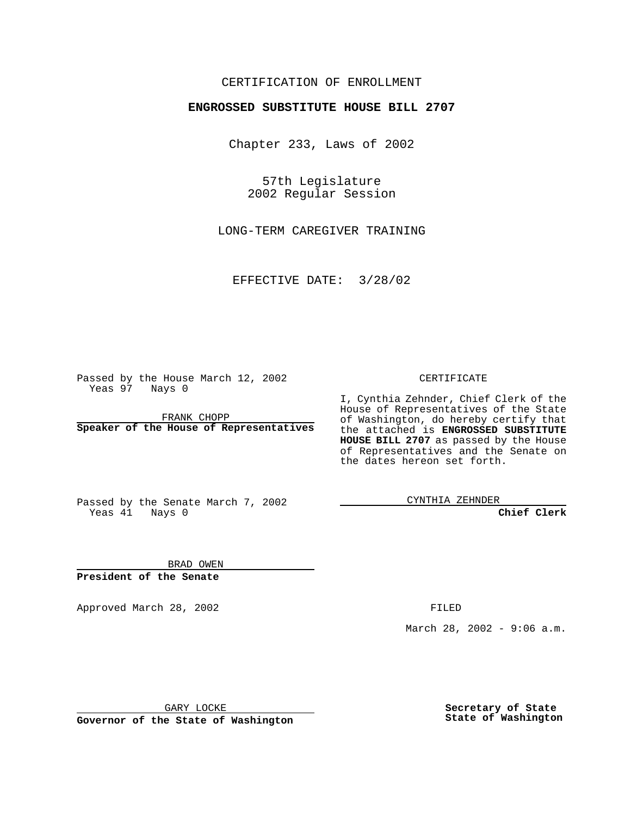#### CERTIFICATION OF ENROLLMENT

## **ENGROSSED SUBSTITUTE HOUSE BILL 2707**

Chapter 233, Laws of 2002

57th Legislature 2002 Regular Session

LONG-TERM CAREGIVER TRAINING

EFFECTIVE DATE: 3/28/02

Passed by the House March 12, 2002 Yeas 97 Nays 0

FRANK CHOPP **Speaker of the House of Representatives** CERTIFICATE

I, Cynthia Zehnder, Chief Clerk of the House of Representatives of the State of Washington, do hereby certify that the attached is **ENGROSSED SUBSTITUTE HOUSE BILL 2707** as passed by the House of Representatives and the Senate on the dates hereon set forth.

Passed by the Senate March 7, 2002 Yeas  $4\overline{1}$  Nays 0

CYNTHIA ZEHNDER

**Chief Clerk**

BRAD OWEN **President of the Senate**

Approved March 28, 2002 **FILED** 

March 28, 2002 - 9:06 a.m.

GARY LOCKE

**Governor of the State of Washington**

**Secretary of State State of Washington**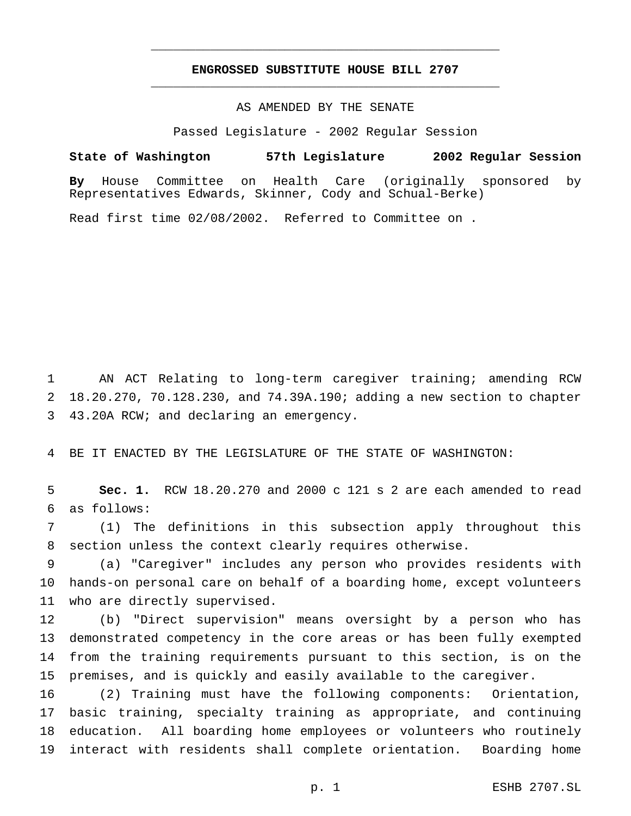#### **ENGROSSED SUBSTITUTE HOUSE BILL 2707** \_\_\_\_\_\_\_\_\_\_\_\_\_\_\_\_\_\_\_\_\_\_\_\_\_\_\_\_\_\_\_\_\_\_\_\_\_\_\_\_\_\_\_\_\_\_\_

\_\_\_\_\_\_\_\_\_\_\_\_\_\_\_\_\_\_\_\_\_\_\_\_\_\_\_\_\_\_\_\_\_\_\_\_\_\_\_\_\_\_\_\_\_\_\_

### AS AMENDED BY THE SENATE

Passed Legislature - 2002 Regular Session

# **State of Washington 57th Legislature 2002 Regular Session**

**By** House Committee on Health Care (originally sponsored by Representatives Edwards, Skinner, Cody and Schual-Berke)

Read first time 02/08/2002. Referred to Committee on .

 AN ACT Relating to long-term caregiver training; amending RCW 18.20.270, 70.128.230, and 74.39A.190; adding a new section to chapter 43.20A RCW; and declaring an emergency.

BE IT ENACTED BY THE LEGISLATURE OF THE STATE OF WASHINGTON:

 **Sec. 1.** RCW 18.20.270 and 2000 c 121 s 2 are each amended to read as follows:

 (1) The definitions in this subsection apply throughout this section unless the context clearly requires otherwise.

 (a) "Caregiver" includes any person who provides residents with hands-on personal care on behalf of a boarding home, except volunteers who are directly supervised.

 (b) "Direct supervision" means oversight by a person who has demonstrated competency in the core areas or has been fully exempted from the training requirements pursuant to this section, is on the premises, and is quickly and easily available to the caregiver.

 (2) Training must have the following components: Orientation, basic training, specialty training as appropriate, and continuing education. All boarding home employees or volunteers who routinely interact with residents shall complete orientation. Boarding home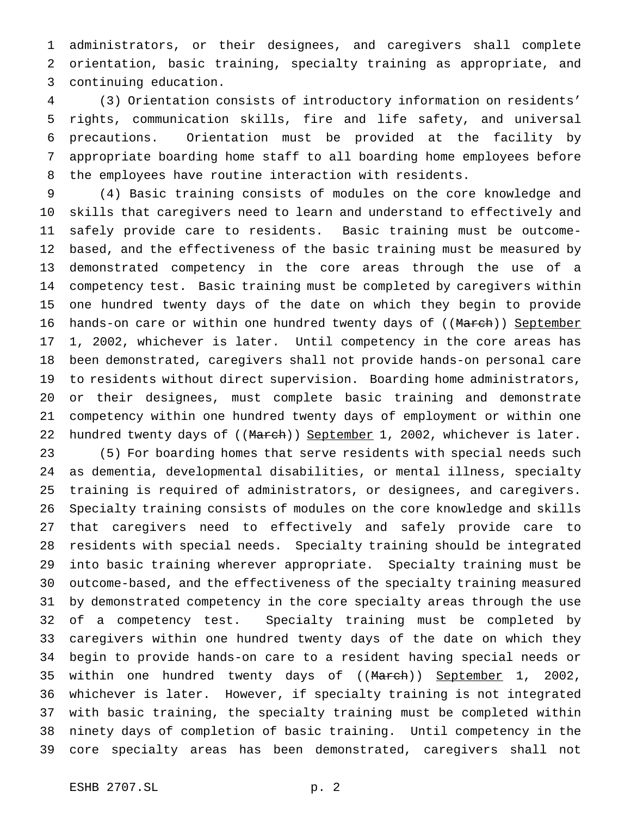administrators, or their designees, and caregivers shall complete orientation, basic training, specialty training as appropriate, and continuing education.

 (3) Orientation consists of introductory information on residents' rights, communication skills, fire and life safety, and universal precautions. Orientation must be provided at the facility by appropriate boarding home staff to all boarding home employees before the employees have routine interaction with residents.

 (4) Basic training consists of modules on the core knowledge and skills that caregivers need to learn and understand to effectively and safely provide care to residents. Basic training must be outcome- based, and the effectiveness of the basic training must be measured by demonstrated competency in the core areas through the use of a competency test. Basic training must be completed by caregivers within one hundred twenty days of the date on which they begin to provide 16 hands-on care or within one hundred twenty days of ((March)) September 1, 2002, whichever is later. Until competency in the core areas has been demonstrated, caregivers shall not provide hands-on personal care to residents without direct supervision. Boarding home administrators, or their designees, must complete basic training and demonstrate competency within one hundred twenty days of employment or within one 22 hundred twenty days of ((March)) September 1, 2002, whichever is later. (5) For boarding homes that serve residents with special needs such as dementia, developmental disabilities, or mental illness, specialty training is required of administrators, or designees, and caregivers. Specialty training consists of modules on the core knowledge and skills that caregivers need to effectively and safely provide care to residents with special needs. Specialty training should be integrated into basic training wherever appropriate. Specialty training must be outcome-based, and the effectiveness of the specialty training measured by demonstrated competency in the core specialty areas through the use of a competency test. Specialty training must be completed by caregivers within one hundred twenty days of the date on which they begin to provide hands-on care to a resident having special needs or 35 within one hundred twenty days of ((March)) September 1, 2002, whichever is later. However, if specialty training is not integrated

 with basic training, the specialty training must be completed within ninety days of completion of basic training. Until competency in the core specialty areas has been demonstrated, caregivers shall not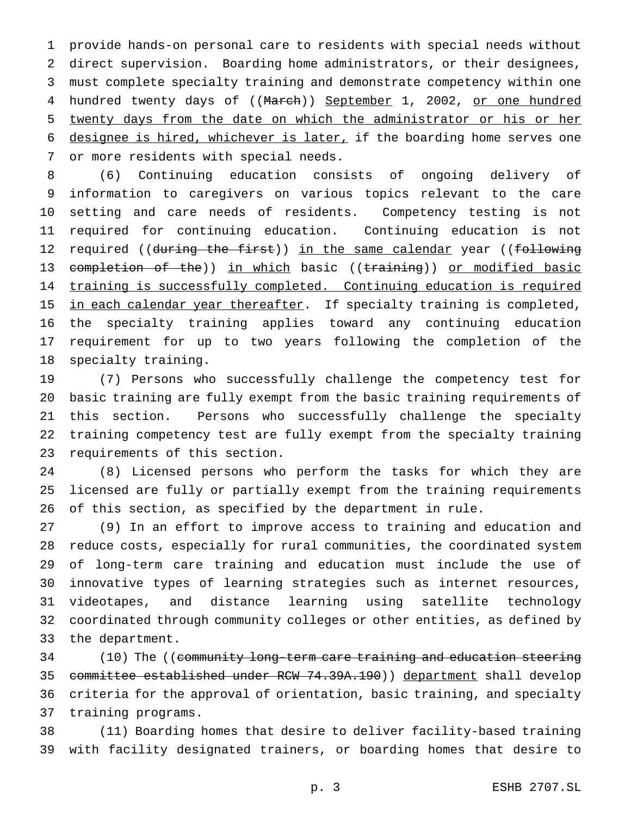provide hands-on personal care to residents with special needs without direct supervision. Boarding home administrators, or their designees, must complete specialty training and demonstrate competency within one 4 hundred twenty days of ((March)) September 1, 2002, or one hundred twenty days from the date on which the administrator or his or her designee is hired, whichever is later, if the boarding home serves one or more residents with special needs.

 (6) Continuing education consists of ongoing delivery of information to caregivers on various topics relevant to the care setting and care needs of residents. Competency testing is not required for continuing education. Continuing education is not 12 required ((during the first)) in the same calendar year ((following 13 completion of the)) in which basic ((training)) or modified basic 14 training is successfully completed. Continuing education is required 15 in each calendar year thereafter. If specialty training is completed, the specialty training applies toward any continuing education requirement for up to two years following the completion of the specialty training.

 (7) Persons who successfully challenge the competency test for basic training are fully exempt from the basic training requirements of this section. Persons who successfully challenge the specialty training competency test are fully exempt from the specialty training requirements of this section.

 (8) Licensed persons who perform the tasks for which they are licensed are fully or partially exempt from the training requirements of this section, as specified by the department in rule.

 (9) In an effort to improve access to training and education and reduce costs, especially for rural communities, the coordinated system of long-term care training and education must include the use of innovative types of learning strategies such as internet resources, videotapes, and distance learning using satellite technology coordinated through community colleges or other entities, as defined by the department.

 (10) The ((community long-term care training and education steering committee established under RCW 74.39A.190)) department shall develop criteria for the approval of orientation, basic training, and specialty training programs.

 (11) Boarding homes that desire to deliver facility-based training with facility designated trainers, or boarding homes that desire to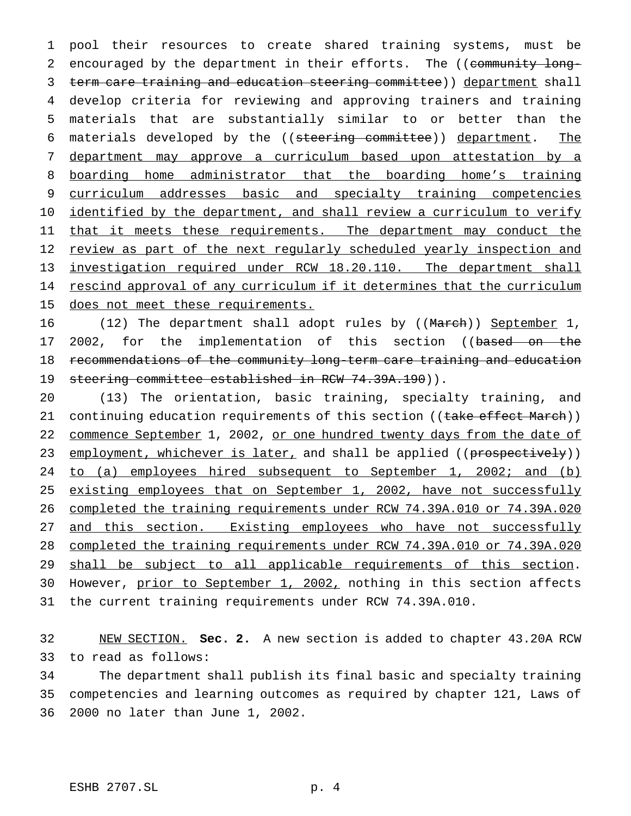1 pool their resources to create shared training systems, must be 2 encouraged by the department in their efforts. The ((community long-3 term care training and education steering committee)) department shall 4 develop criteria for reviewing and approving trainers and training 5 materials that are substantially similar to or better than the 6 materials developed by the ((steering committee)) department. The 7 department may approve a curriculum based upon attestation by a 8 boarding home administrator that the boarding home's training 9 curriculum addresses basic and specialty training competencies 10 identified by the department, and shall review a curriculum to verify 11 that it meets these requirements. The department may conduct the 12 review as part of the next regularly scheduled yearly inspection and 13 investigation required under RCW 18.20.110. The department shall 14 rescind approval of any curriculum if it determines that the curriculum 15 does not meet these requirements.

16 (12) The department shall adopt rules by ((March)) September 1, 17 2002, for the implementation of this section ((based on the 18 recommendations of the community long-term care training and education 19 steering committee established in RCW 74.39A.190)).

20 (13) The orientation, basic training, specialty training, and 21 continuing education requirements of this section ((take effect March)) 22 commence September 1, 2002, or one hundred twenty days from the date of 23 employment, whichever is later, and shall be applied ((prospectively)) 24 to (a) employees hired subsequent to September 1, 2002; and (b) 25 existing employees that on September 1, 2002, have not successfully 26 completed the training requirements under RCW 74.39A.010 or 74.39A.020 27 and this section. Existing employees who have not successfully 28 completed the training requirements under RCW 74.39A.010 or 74.39A.020 29 shall be subject to all applicable requirements of this section. 30 However, prior to September 1, 2002, nothing in this section affects 31 the current training requirements under RCW 74.39A.010.

32 NEW SECTION. **Sec. 2.** A new section is added to chapter 43.20A RCW 33 to read as follows:

34 The department shall publish its final basic and specialty training 35 competencies and learning outcomes as required by chapter 121, Laws of 36 2000 no later than June 1, 2002.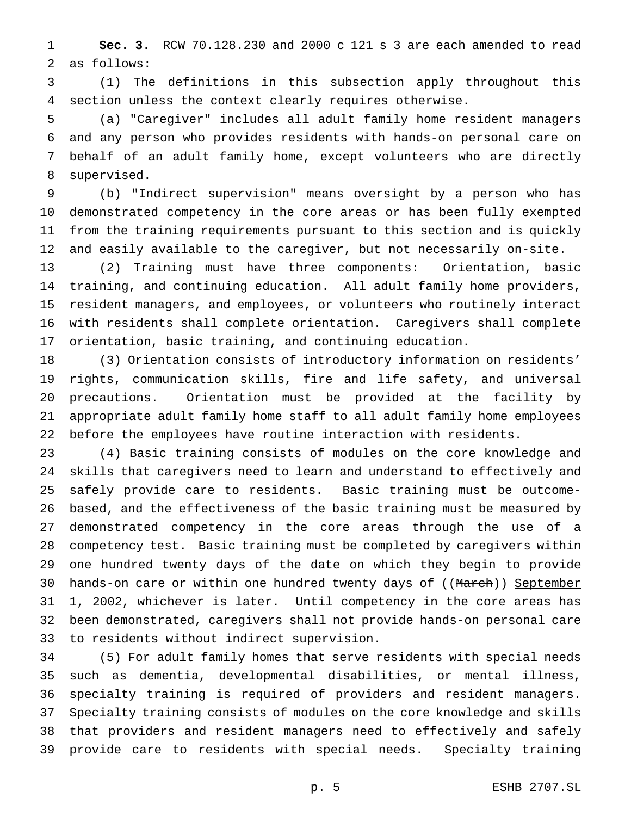**Sec. 3.** RCW 70.128.230 and 2000 c 121 s 3 are each amended to read as follows:

 (1) The definitions in this subsection apply throughout this section unless the context clearly requires otherwise.

 (a) "Caregiver" includes all adult family home resident managers and any person who provides residents with hands-on personal care on behalf of an adult family home, except volunteers who are directly supervised.

 (b) "Indirect supervision" means oversight by a person who has demonstrated competency in the core areas or has been fully exempted from the training requirements pursuant to this section and is quickly and easily available to the caregiver, but not necessarily on-site.

 (2) Training must have three components: Orientation, basic training, and continuing education. All adult family home providers, resident managers, and employees, or volunteers who routinely interact with residents shall complete orientation. Caregivers shall complete orientation, basic training, and continuing education.

 (3) Orientation consists of introductory information on residents' rights, communication skills, fire and life safety, and universal precautions. Orientation must be provided at the facility by appropriate adult family home staff to all adult family home employees before the employees have routine interaction with residents.

 (4) Basic training consists of modules on the core knowledge and skills that caregivers need to learn and understand to effectively and safely provide care to residents. Basic training must be outcome- based, and the effectiveness of the basic training must be measured by demonstrated competency in the core areas through the use of a competency test. Basic training must be completed by caregivers within one hundred twenty days of the date on which they begin to provide 30 hands-on care or within one hundred twenty days of ((March)) September 1, 2002, whichever is later. Until competency in the core areas has been demonstrated, caregivers shall not provide hands-on personal care to residents without indirect supervision.

 (5) For adult family homes that serve residents with special needs such as dementia, developmental disabilities, or mental illness, specialty training is required of providers and resident managers. Specialty training consists of modules on the core knowledge and skills that providers and resident managers need to effectively and safely provide care to residents with special needs. Specialty training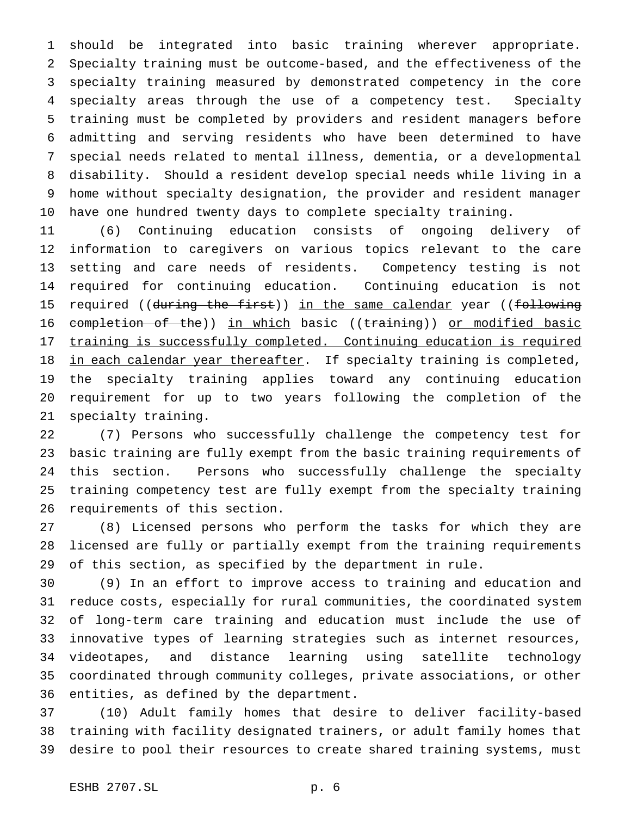should be integrated into basic training wherever appropriate. Specialty training must be outcome-based, and the effectiveness of the specialty training measured by demonstrated competency in the core specialty areas through the use of a competency test. Specialty training must be completed by providers and resident managers before admitting and serving residents who have been determined to have special needs related to mental illness, dementia, or a developmental disability. Should a resident develop special needs while living in a home without specialty designation, the provider and resident manager have one hundred twenty days to complete specialty training.

 (6) Continuing education consists of ongoing delivery of information to caregivers on various topics relevant to the care setting and care needs of residents. Competency testing is not required for continuing education. Continuing education is not 15 required ((during the first)) in the same calendar year ((following 16 completion of the)) in which basic ((training)) or modified basic training is successfully completed. Continuing education is required 18 in each calendar year thereafter. If specialty training is completed, the specialty training applies toward any continuing education requirement for up to two years following the completion of the specialty training.

 (7) Persons who successfully challenge the competency test for basic training are fully exempt from the basic training requirements of this section. Persons who successfully challenge the specialty training competency test are fully exempt from the specialty training requirements of this section.

 (8) Licensed persons who perform the tasks for which they are licensed are fully or partially exempt from the training requirements of this section, as specified by the department in rule.

 (9) In an effort to improve access to training and education and reduce costs, especially for rural communities, the coordinated system of long-term care training and education must include the use of innovative types of learning strategies such as internet resources, videotapes, and distance learning using satellite technology coordinated through community colleges, private associations, or other entities, as defined by the department.

 (10) Adult family homes that desire to deliver facility-based training with facility designated trainers, or adult family homes that desire to pool their resources to create shared training systems, must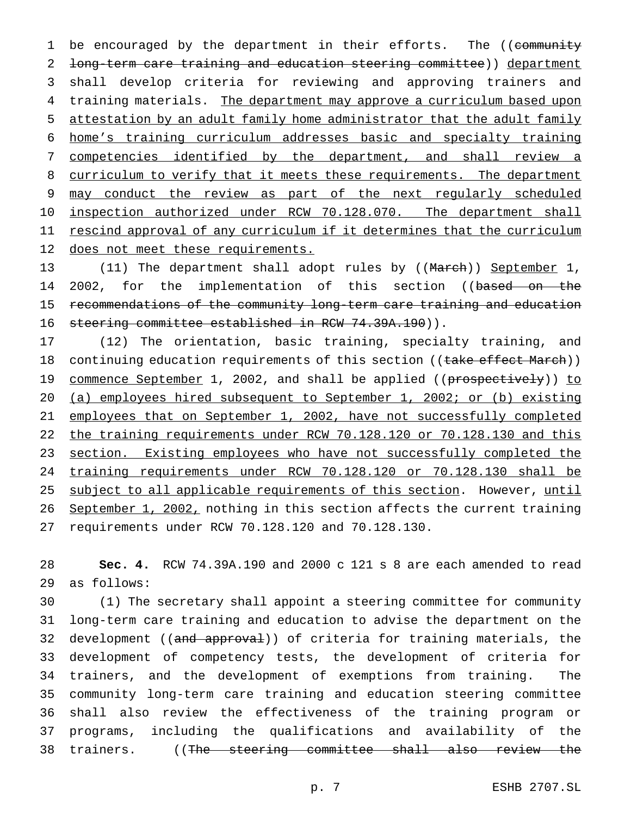1 be encouraged by the department in their efforts. The ((community 2 long-term care training and education steering committee)) department 3 shall develop criteria for reviewing and approving trainers and 4 training materials. The department may approve a curriculum based upon 5 attestation by an adult family home administrator that the adult family 6 home's training curriculum addresses basic and specialty training 7 competencies identified by the department, and shall review a 8 curriculum to verify that it meets these requirements. The department 9 may conduct the review as part of the next regularly scheduled 10 inspection authorized under RCW 70.128.070. The department shall 11 rescind approval of any curriculum if it determines that the curriculum 12 does not meet these requirements.

13 (11) The department shall adopt rules by ((March)) September 1, 14 2002, for the implementation of this section ((based on the 15 recommendations of the community long-term care training and education 16 steering committee established in RCW 74.39A.190)).

17 (12) The orientation, basic training, specialty training, and 18 continuing education requirements of this section ((take effect March)) 19 commence September 1, 2002, and shall be applied ((prospectively)) to 20 (a) employees hired subsequent to September 1, 2002; or (b) existing 21 employees that on September 1, 2002, have not successfully completed 22 the training requirements under RCW 70.128.120 or 70.128.130 and this 23 section. Existing employees who have not successfully completed the 24 training requirements under RCW 70.128.120 or 70.128.130 shall be 25 subject to all applicable requirements of this section. However, until 26 September 1, 2002, nothing in this section affects the current training 27 requirements under RCW 70.128.120 and 70.128.130.

28 **Sec. 4.** RCW 74.39A.190 and 2000 c 121 s 8 are each amended to read 29 as follows:

 (1) The secretary shall appoint a steering committee for community long-term care training and education to advise the department on the 32 development ((and approval)) of criteria for training materials, the development of competency tests, the development of criteria for trainers, and the development of exemptions from training. The community long-term care training and education steering committee shall also review the effectiveness of the training program or programs, including the qualifications and availability of the 38 trainers. ((The steering committee shall also review the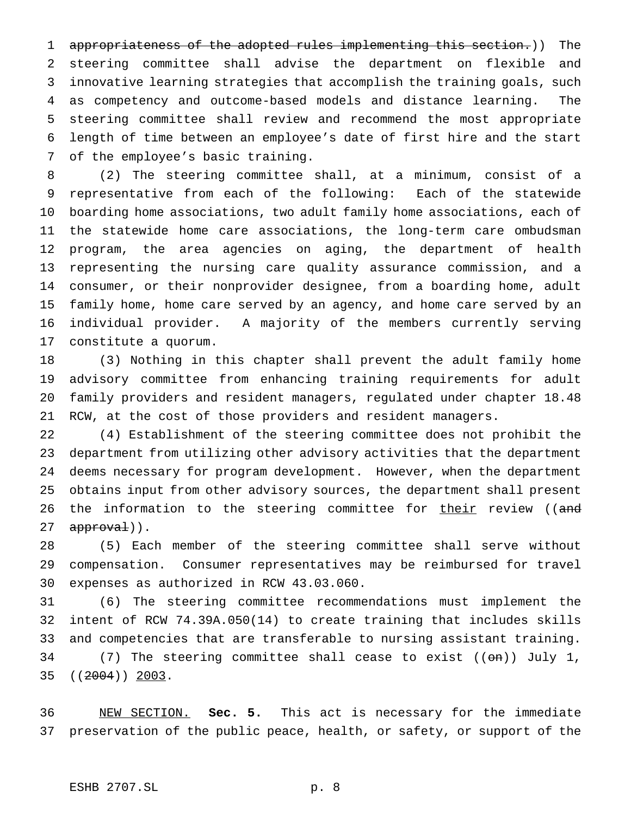appropriateness of the adopted rules implementing this section.)) The steering committee shall advise the department on flexible and innovative learning strategies that accomplish the training goals, such as competency and outcome-based models and distance learning. The steering committee shall review and recommend the most appropriate length of time between an employee's date of first hire and the start of the employee's basic training.

 (2) The steering committee shall, at a minimum, consist of a representative from each of the following: Each of the statewide boarding home associations, two adult family home associations, each of the statewide home care associations, the long-term care ombudsman program, the area agencies on aging, the department of health representing the nursing care quality assurance commission, and a consumer, or their nonprovider designee, from a boarding home, adult family home, home care served by an agency, and home care served by an individual provider. A majority of the members currently serving constitute a quorum.

 (3) Nothing in this chapter shall prevent the adult family home advisory committee from enhancing training requirements for adult family providers and resident managers, regulated under chapter 18.48 RCW, at the cost of those providers and resident managers.

 (4) Establishment of the steering committee does not prohibit the department from utilizing other advisory activities that the department deems necessary for program development. However, when the department obtains input from other advisory sources, the department shall present 26 the information to the steering committee for their review ((and approval)).

 (5) Each member of the steering committee shall serve without compensation. Consumer representatives may be reimbursed for travel expenses as authorized in RCW 43.03.060.

 (6) The steering committee recommendations must implement the intent of RCW 74.39A.050(14) to create training that includes skills and competencies that are transferable to nursing assistant training. 34 (7) The steering committee shall cease to exist  $((\Theta n))$  July 1, ((2004)) 2003.

 NEW SECTION. **Sec. 5.** This act is necessary for the immediate preservation of the public peace, health, or safety, or support of the